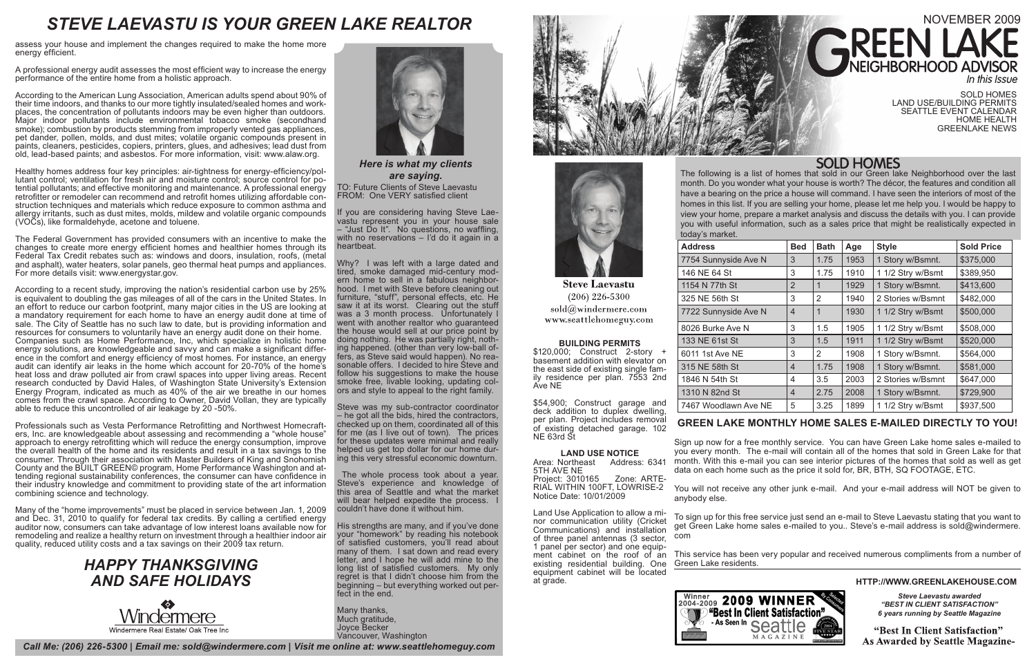The following is a list of homes that sold in our Green lake Neighborhood over the last month. Do you wonder what your house is worth? The décor, the features and condition all have a bearing on the price a house will command. I have seen the interiors of most of the homes in this list. If you are selling your home, please let me help you. I would be happy to view your home, prepare a market analysis and discuss the details with you. I can provide you with useful information, such as a sales price that might be realistically expected in



### **HTTP://WWW.GREENLAKEHOUSE.COM**

*Call Me: (206) 226-5300 | Email me: sold@windermere.com | Visit me online at: www.seattlehomeguy.com*

# NOVEMBER 2009 **AREEN LA**

*Steve Laevastu awarded "BEST IN CLIENT SATISFACTION" 6 years running by Seattle Magazine*

"Best In Client Satisfaction" **As Awarded by Seattle Magazine-**

## **GREEN LAKE MONTHLY HOME SALES E-MAILED DIRECTLY TO YOU!**

Sign up now for a free monthly service. You can have Green Lake home sales e-mailed to you every month. The e-mail will contain all of the homes that sold in Green Lake for that month. With this e-mail you can see interior pictures of the homes that sold as well as get data on each home such as the price it sold for, BR, BTH, SQ FOOTAGE, ETC.

You will not receive any other junk e-mail. And your e-mail address will NOT be given to anybody else.

To sign up for this free service just send an e-mail to Steve Laevastu stating that you want to get Green Lake home sales e-mailed to you.. Steve's e-mail address is sold@windermere. com



*Here is what my clients are saying.* TO: Future Clients of Steve Laevastu FROM: One VERY satisfied client

This service has been very popular and received numerous compliments from a number of

Green Lake residents.



SOLD HOMES LAND USE/BUILDING PERMITS SEATTLE EVENT CALENDAR HOME HEALTH GREENLAKE NEWS

# **SOLD HOMES**

# *STEVE LAEVASTU IS YOUR GREEN LAKE REALTOR*

| <b>Address</b>       | <b>Bed</b>     | <b>Bath</b>    | Age  | <b>Style</b>      | <b>Sold Price</b> |
|----------------------|----------------|----------------|------|-------------------|-------------------|
| 7754 Sunnyside Ave N | 3              | 1.75           | 1953 | 1 Story w/Bsmnt.  | \$375,000         |
| 146 NE 64 St         | 3              | 1.75           | 1910 | 1 1/2 Stry w/Bsmt | \$389,950         |
| 1154 N 77th St       | 2              | 1              | 1929 | 1 Story w/Bsmnt.  | \$413,600         |
| 325 NE 56th St       | 3              | 2              | 1940 | 2 Stories w/Bsmnt | \$482,000         |
| 7722 Sunnyside Ave N | $\overline{4}$ | 1              | 1930 | 1 1/2 Stry w/Bsmt | \$500,000         |
| 8026 Burke Ave N     | 3              | 1.5            | 1905 | 1 1/2 Stry w/Bsmt | \$508,000         |
| 133 NE 61st St       | 3              | 1.5            | 1911 | 1 1/2 Stry w/Bsmt | \$520,000         |
| 6011 1st Ave NE      | 3              | $\overline{2}$ | 1908 | 1 Story w/Bsmnt.  | \$564,000         |
| 315 NE 58th St       | $\overline{4}$ | 1.75           | 1908 | 1 Story w/Bsmnt.  | \$581,000         |
| 1846 N 54th St       | 4              | 3.5            | 2003 | 2 Stories w/Bsmnt | \$647,000         |
| 1310 N 82nd St       | $\overline{4}$ | 2.75           | 2008 | 1 Story w/Bsmnt.  | \$729,900         |
| 7467 Woodlawn Ave NE | 5              | 3.25           | 1899 | 1 1/2 Stry w/Bsmt | \$937,500         |

According to the American Lung Association, American adults spend about 90% of their time indoors, and thanks to our more tightly insulated/sealed homes and workplaces, the concentration of pollutants indoors may be even higher than outdoors. Major indoor pollutants include environmental tobacco smoke (secondhand smoke); combustion by products stemming from improperly vented gas appliances, pet dander, pollen, molds, and dust mites; volatile organic compounds present in paints, cleaners, pesticides, copiers, printers, glues, and adhesives; lead dust from old, lead-based paints; and asbestos. For more information, visit: www.alaw.org.

> If you are considering having Steve Laevastu represent you in your house sale – "Just Do It". No questions, no waffling, with no reservations - I'd do it again in a heartbeat.

Healthy homes address four key principles: air-tightness for energy-efficiency/pol-<br>lutant control; ventilation for fresh air and moisture control; source control for po-<br>tential pollutants; and effective monitoring and ma struction techniques and materials which reduce exposure to common asthma and allergy irritants, such as dust mites, molds, mildew and volatile organic compounds (VOCs), like formaldehyde, acetone and toluene.

> Why? I was left with a large dated and tired, smoke damaged mid-century modern home to sell in a fabulous neighborhood. I met with Steve before cleaning out furniture, "stuff", personal effects, etc. He saw it at its worst. Clearing out the stuff was a 3 month process. Unfortunately I went with another realtor who guaranteed the house would sell at our price point by doing nothing. He was partially right, nothing happened. (other than very low-ball offers, as Steve said would happen). No reasonable offers. I decided to hire Steve and follow his suggestions to make the house smoke free, livable looking, updating colors and style to appeal to the right family.

> Steve was my sub-contractor coordinator – he got all the bids, hired the contractors, checked up on them, coordinated all of this for me (as I live out of town). The prices for these updates were minimal and really helped us get top dollar for our home during this very stressful economic downturn.

 The whole process took about a year. Steve's experience and knowledge of this area of Seattle and what the market will bear helped expedite the process. I couldn't have done it without him.

His strengths are many, and if you've done your "homework" by reading his notebook of satisfied customers, you'll read about many of them. I sat down and read every letter, and I hope he will add mine to the long list of satisfied customers. My only regret is that I didn't choose him from the beginning – but everything worked out perfect in the end.

Many thanks, Much gratitude, Joyce Becker Vancouver, Washington





**Steve Laevastu**  $(206)$  226-5300 sold@windermere.com www.seattlehomeguy.com

assess your house and implement the changes required to make the home more energy efficient.

A professional energy audit assesses the most efficient way to increase the energy performance of the entire home from a holistic approach.

The Federal Government has provided consumers with an incentive to make the changes to create more energy efficient homes and healthier homes through its Federal Tax Credit rebates such as: windows and doors, insulation, roofs, (metal and asphalt), water heaters, solar panels, geo thermal heat pumps and appliances. For more details visit: www.energystar.gov.

According to a recent study, improving the nation's residential carbon use by 25% is equivalent to doubling the gas mileages of all of the cars in the United States. In an effort to reduce our carbon footprint, many major cities in the US are looking at a mandatory requirement for each home to have an energy audit done at time of sale. The City of Seattle has no such law to date, but is providing information and resources for consumers to voluntarily have an energy audit done on their home. Companies such as Home Performance, Inc, which specialize in holistic home energy solutions, are knowledgeable and savvy and can make a significant difference in the comfort and energy efficiency of most homes. For instance, an energy audit can identify air leaks in the home which account for 20-70% of the home's heat loss and draw polluted air from crawl spaces into upper living areas. Recent research conducted by David Hales, of Washington State University's Extension Energy Program, indicated as much as 40% of the air we breathe in our homes comes from the crawl space. According to Owner, David Vollan, they are typically able to reduce this uncontrolled of air leakage by 20 -50%.

Professionals such as Vesta Performance Retrofitting and Northwest Homecrafters, Inc. are knowledgeable about assessing and recommending a "whole house" approach to energy retrofitting which will reduce the energy consumption, improve the overall health of the home and its residents and result in a tax savings to the consumer. Through their association with Master Builders of King and Snohomish County and the BUILT GREEN© program, Home Performance Washington and attending regional sustainability conferences, the consumer can have confidence in their industry knowledge and commitment to providing state of the art information combining science and technology.

Many of the "home improvements" must be placed in service between Jan. 1, 2009 and Dec. 31, 2010 to qualify for federal tax credits. By calling a certified energy auditor now, consumers can take advantage of low interest loans available now for remodeling and realize a healthy return on investment through a healthier indoor air quality, reduced utility costs and a tax savings on their 2009 tax return.





#### **BUILDING PERMITS**

\$120,000; Construct 2-story + basement addition with elevator on the east side of existing single family residence per plan. 7553 2nd Ave NE

\$54,900; Construct garage and deck addition to duplex dwelling, per plan. Project includes removal of existing detached garage. 102 NE 63rd St

**LAND USE NOTICE** Area: Northeast Address: 6341 5TH AVE NE Project: 3010165 Zone: ARTE-RIAL WITHIN 100FT, LOWRISE-2 Notice Date: 10/01/2009

Land Use Application to allow a minor communication utility (Cricket Communications) and installation of three panel antennas (3 sector, 1 panel per sector) and one equipment cabinet on the roof of an existing residential building. One equipment cabinet will be located at grade.